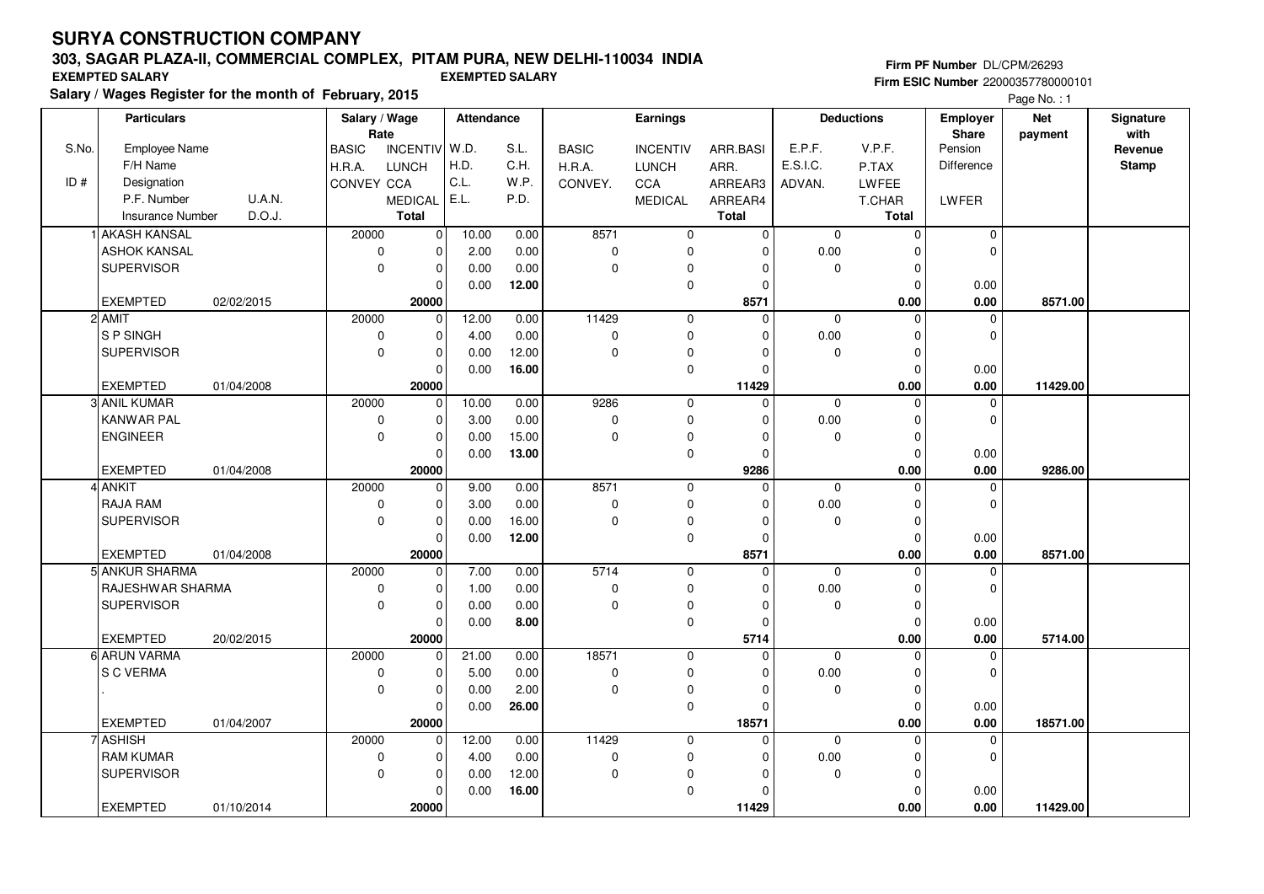## **303, SAGAR PLAZA-II, COMMERCIAL COMPLEX, PITAM PURA, NEW DELHI-110034 INDIA**

**Salary / Wages Register for the month of February, 2015 EXEMPTED SALARY EXEMPTED SALARY**

#### **Firm PF Number** DL/CPM/26293 **Firm ESIC Number** 22000357780000101

|       | <b>Particulars</b>      | Salary / Wage<br>Rate |              |                   |       |       | Attendance<br>Earnings |                            |                      |             |                  | <b>Net</b>       | Signature<br>with |              |
|-------|-------------------------|-----------------------|--------------|-------------------|-------|-------|------------------------|----------------------------|----------------------|-------------|------------------|------------------|-------------------|--------------|
| S.No. | Employee Name           |                       | <b>BASIC</b> | INCENTIV W.D.     |       | S.L.  | <b>BASIC</b>           | <b>INCENTIV</b>            | ARR.BASI             | E.P.F.      | V.P.F.           | Share<br>Pension | payment           | Revenue      |
|       | F/H Name                |                       | H.R.A.       | <b>LUNCH</b>      | H.D.  | C.H.  | H.R.A.                 | <b>LUNCH</b>               | ARR.                 | E.S.I.C.    | P.TAX            | Difference       |                   | <b>Stamp</b> |
| ID#   | Designation             |                       | CONVEY CCA   |                   | C.L.  | W.P.  | CONVEY.                | CCA                        | ARREAR3              | ADVAN.      | LWFEE            |                  |                   |              |
|       | P.F. Number             | U.A.N.                |              | <b>MEDICAL</b>    | E.L.  | P.D.  |                        | <b>MEDICAL</b>             | ARREAR4              |             | T.CHAR           | LWFER            |                   |              |
|       | <b>Insurance Number</b> | D.O.J.                |              | <b>Total</b>      |       |       |                        |                            | <b>Total</b>         |             | <b>Total</b>     |                  |                   |              |
|       | 1 AKASH KANSAL          |                       | 20000        | $\pmb{0}$         | 10.00 | 0.00  | 8571                   | $\mathbf 0$                | $\mathbf{0}$         | $\mathbf 0$ | $\mathbf 0$      | $\pmb{0}$        |                   |              |
|       | <b>ASHOK KANSAL</b>     |                       | $\pmb{0}$    | 0                 | 2.00  | 0.00  | 0                      | $\mathbf 0$                | $\Omega$             | 0.00        | $\mathbf 0$      | $\mathbf 0$      |                   |              |
|       | SUPERVISOR              |                       | $\mathbf 0$  | $\mathbf 0$       | 0.00  | 0.00  | $\mathbf 0$            | $\mathbf 0$                | $\Omega$             | 0           | $\mathbf 0$      |                  |                   |              |
|       |                         |                       |              | $\mathbf 0$       | 0.00  | 12.00 |                        | $\mathbf 0$                | $\Omega$             |             | $\mathbf 0$      | 0.00             |                   |              |
|       | <b>EXEMPTED</b>         | 02/02/2015            |              | 20000             |       |       |                        |                            | 8571                 |             | 0.00             | 0.00             | 8571.00           |              |
|       | 2 AMIT                  |                       | 20000        | $\pmb{0}$         | 12.00 | 0.00  | 11429                  | $\mathbf 0$                | $\mathbf 0$          | $\mathbf 0$ | $\mathbf 0$      | 0                |                   |              |
|       | S P SINGH               |                       | $\mathbf 0$  | $\pmb{0}$         | 4.00  | 0.00  | 0                      | $\pmb{0}$                  | $\Omega$             | 0.00        | $\mathbf 0$      | 0                |                   |              |
|       | <b>SUPERVISOR</b>       |                       | $\mathbf 0$  | $\pmb{0}$         | 0.00  | 12.00 | $\mathbf 0$            | $\mathbf 0$                | O                    | 0           | $\mathbf 0$      |                  |                   |              |
|       |                         |                       |              | 0                 | 0.00  | 16.00 |                        | $\mathbf 0$                | $\Omega$             |             | $\mathbf 0$      | 0.00             |                   |              |
|       | <b>EXEMPTED</b>         | 01/04/2008            |              | 20000             |       |       |                        |                            | 11429                |             | 0.00             | 0.00             | 11429.00          |              |
|       | 3 ANIL KUMAR            |                       | 20000        | 0                 | 10.00 | 0.00  | 9286                   | $\mathbf 0$                | $\Omega$             | $\mathbf 0$ | $\mathbf 0$      | 0                |                   |              |
|       | <b>KANWAR PAL</b>       |                       | $\mathbf 0$  | $\mathbf 0$       | 3.00  | 0.00  | 0                      | $\mathbf 0$                | $\Omega$             | 0.00        | $\mathbf 0$      | $\mathbf 0$      |                   |              |
|       | <b>ENGINEER</b>         |                       | $\mathbf 0$  | $\mathbf 0$       | 0.00  | 15.00 | $\mathbf 0$            | $\mathbf 0$                | $\Omega$             | $\Omega$    | $\mathbf 0$      |                  |                   |              |
|       |                         |                       |              | 0                 | 0.00  | 13.00 |                        | $\mathbf 0$                | $\Omega$             |             | $\mathbf 0$      | 0.00             |                   |              |
|       | <b>EXEMPTED</b>         | 01/04/2008            |              | 20000             |       |       |                        |                            | 9286                 |             | 0.00             | 0.00             | 9286.00           |              |
|       | 4 ANKIT                 |                       | 20000        | $\overline{0}$    | 9.00  | 0.00  | 8571                   | $\mathbf 0$                | $\overline{0}$       | $\Omega$    | $\Omega$         | $\mathbf 0$      |                   |              |
|       | <b>RAJA RAM</b>         |                       | $\mathbf 0$  | 0                 | 3.00  | 0.00  | 0                      | $\mathbf 0$                | $\Omega$             | 0.00        | $\mathbf 0$      | $\mathbf 0$      |                   |              |
|       | <b>SUPERVISOR</b>       |                       | $\mathbf 0$  | $\mathbf 0$       | 0.00  | 16.00 | 0                      | 0                          | $\Omega$             | 0           | $\mathbf 0$      |                  |                   |              |
|       |                         |                       |              | $\mathbf 0$       | 0.00  | 12.00 |                        | $\mathbf 0$                | $\Omega$             |             | $\mathbf 0$      | 0.00             |                   |              |
|       | <b>EXEMPTED</b>         | 01/04/2008            |              | 20000             |       |       |                        |                            | 8571                 |             | 0.00             | 0.00             | 8571.00           |              |
|       | 5 ANKUR SHARMA          |                       | 20000        | 0                 | 7.00  | 0.00  | 5714                   | $\mathbf 0$                | $\Omega$             | $\mathbf 0$ | $\Omega$         | $\mathbf 0$      |                   |              |
|       | RAJESHWAR SHARMA        |                       | 0            | $\mathbf 0$       | 1.00  | 0.00  | 0                      | $\mathbf 0$                | $\Omega$             | 0.00        | $\mathbf 0$      | $\mathbf 0$      |                   |              |
|       | <b>SUPERVISOR</b>       |                       | $\mathbf 0$  | $\mathbf 0$       | 0.00  | 0.00  | 0                      | $\mathbf 0$                | $\Omega$             | $\mathbf 0$ | $\mathbf 0$      |                  |                   |              |
|       |                         |                       |              | 0                 | 0.00  | 8.00  |                        | $\mathbf 0$                | $\Omega$             |             | $\mathbf 0$      | 0.00             |                   |              |
|       | <b>EXEMPTED</b>         | 20/02/2015            |              | 20000             |       |       |                        |                            | 5714                 |             | 0.00             | 0.00             | 5714.00           |              |
|       | 6 ARUN VARMA            |                       | 20000        | 0                 | 21.00 | 0.00  | 18571                  | $\mathbf 0$                | $\Omega$             | $\mathbf 0$ | $\Omega$         | $\Omega$         |                   |              |
|       | S C VERMA               |                       | $\pmb{0}$    | $\mathbf 0$       | 5.00  | 0.00  | 0                      | $\mathbf 0$                | $\Omega$             | 0.00        | $\mathbf 0$      | $\mathbf 0$      |                   |              |
|       |                         |                       | $\mathbf 0$  | $\pmb{0}$         | 0.00  | 2.00  | 0                      | $\mathbf 0$<br>$\mathbf 0$ | $\Omega$<br>$\Omega$ | 0           | $\pmb{0}$        |                  |                   |              |
|       | <b>EXEMPTED</b>         | 01/04/2007            |              | $\Omega$<br>20000 | 0.00  | 26.00 |                        |                            | 18571                |             | $\Omega$<br>0.00 | 0.00<br>0.00     | 18571.00          |              |
|       | 7 ASHISH                |                       | 20000        | 0                 | 12.00 | 0.00  | 11429                  | $\mathbf 0$                | $\Omega$             | $\Omega$    | $\Omega$         | 0                |                   |              |
|       | <b>RAM KUMAR</b>        |                       | 0            | $\pmb{0}$         | 4.00  | 0.00  | 0                      | $\mathbf 0$                | $\Omega$             | 0.00        | $\mathbf 0$      | $\mathbf 0$      |                   |              |
|       | <b>SUPERVISOR</b>       |                       | $\mathbf 0$  | 0                 | 0.00  | 12.00 | 0                      | $\mathbf 0$                | $\Omega$             | 0           | $\mathbf 0$      |                  |                   |              |
|       |                         |                       |              | $\Omega$          | 0.00  | 16.00 |                        | $\mathbf 0$                | $\Omega$             |             | $\Omega$         | 0.00             |                   |              |
|       | <b>EXEMPTED</b>         | 01/10/2014            |              | 20000             |       |       |                        |                            | 11429                |             | 0.00             | 0.00             | 11429.00          |              |
|       |                         |                       |              |                   |       |       |                        |                            |                      |             |                  |                  |                   |              |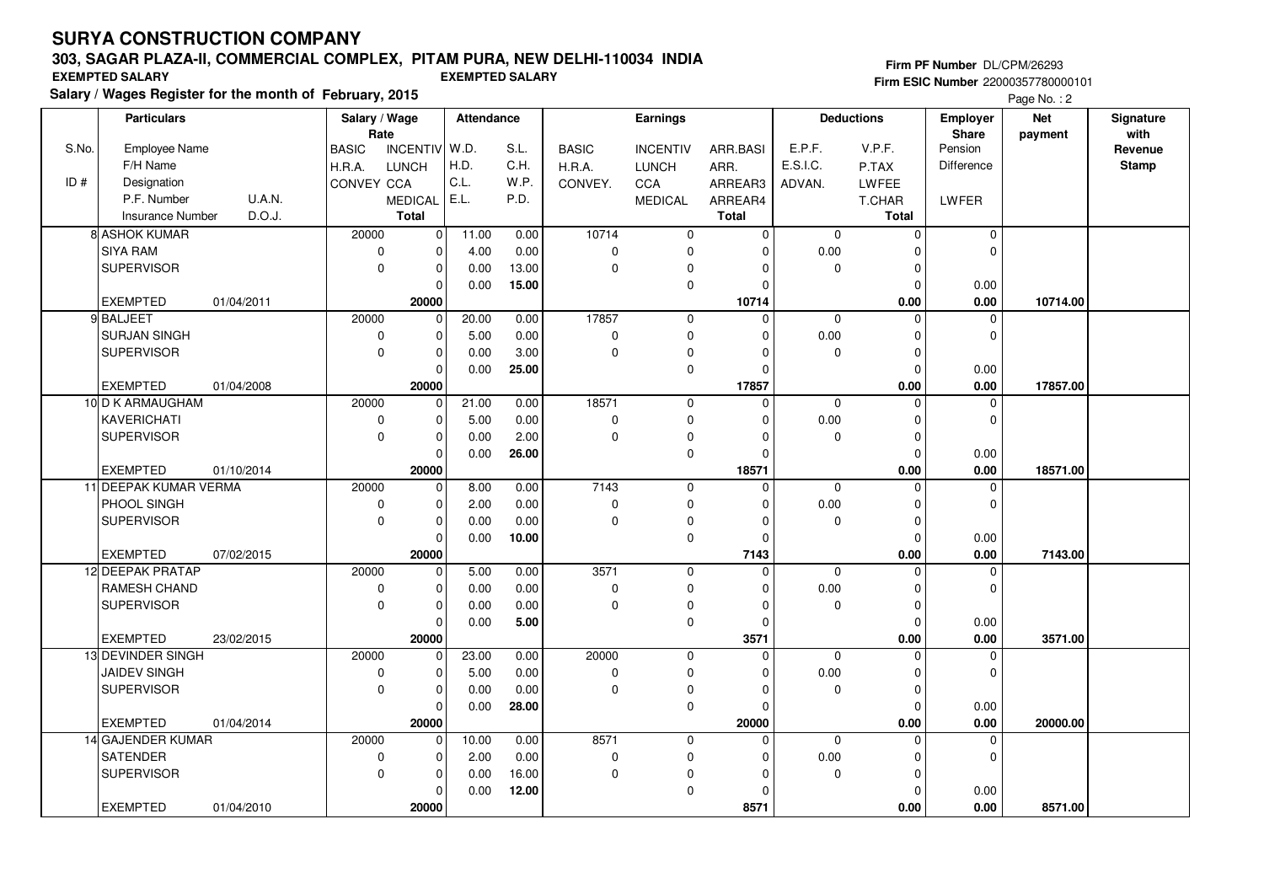## **303, SAGAR PLAZA-II, COMMERCIAL COMPLEX, PITAM PURA, NEW DELHI-110034 INDIA**

**Salary / Wages Register for the month of February, 2015 EXEMPTED SALARY EXEMPTED SALARY**

#### **Firm PF Number** DL/CPM/26293 **Firm ESIC Number** 22000357780000101

|       | <b>Particulars</b>    |            |              | Salary / Wage<br>Rate |       | Attendance |              | <b>Earnings</b> |                | <b>Deductions</b> |              | <b>Employer</b>  | <b>Net</b> | Signature<br>with |
|-------|-----------------------|------------|--------------|-----------------------|-------|------------|--------------|-----------------|----------------|-------------------|--------------|------------------|------------|-------------------|
| S.No. | <b>Employee Name</b>  |            | <b>BASIC</b> | INCENTIV W.D.         |       | S.L.       | <b>BASIC</b> | <b>INCENTIV</b> | ARR.BASI       | E.P.F.            | V.P.F.       | Share<br>Pension | payment    | Revenue           |
|       | F/H Name              |            | H.R.A.       | LUNCH                 | H.D.  | C.H.       | H.R.A.       | <b>LUNCH</b>    | ARR.           | E.S.I.C.          | P.TAX        | Difference       |            | <b>Stamp</b>      |
| ID#   | Designation           |            | CONVEY CCA   |                       | C.L.  | W.P.       | CONVEY.      | CCA             | ARREAR3        | ADVAN.            | <b>LWFEE</b> |                  |            |                   |
|       | P.F. Number           | U.A.N.     |              | <b>MEDICAL</b>        | E.L.  | P.D.       |              | <b>MEDICAL</b>  | ARREAR4        |                   | T.CHAR       | LWFER            |            |                   |
|       | Insurance Number      | D.O.J.     |              | <b>Total</b>          |       |            |              |                 | <b>Total</b>   |                   | Total        |                  |            |                   |
|       | 8 ASHOK KUMAR         |            | 20000        | $\mathbf 0$           | 11.00 | 0.00       | 10714        | 0               | $\overline{0}$ | $\mathbf 0$       | $\mathbf 0$  | $\mathbf 0$      |            |                   |
|       | <b>SIYA RAM</b>       |            | $\pmb{0}$    | 0                     | 4.00  | 0.00       | 0            | $\mathbf 0$     | $\mathbf 0$    | 0.00              | $\mathbf 0$  | $\Omega$         |            |                   |
|       | <b>SUPERVISOR</b>     |            | $\Omega$     | $\mathbf 0$           | 0.00  | 13.00      | $\mathbf 0$  | $\mathbf 0$     | $\Omega$       | $\Omega$          | $\mathbf 0$  |                  |            |                   |
|       |                       |            |              | $\Omega$              | 0.00  | 15.00      |              | $\mathbf 0$     | $\Omega$       |                   | $\mathbf 0$  | 0.00             |            |                   |
|       | <b>EXEMPTED</b>       | 01/04/2011 |              | 20000                 |       |            |              |                 | 10714          |                   | 0.00         | 0.00             | 10714.00   |                   |
|       | 9 BALJEET             |            | 20000        | $\overline{0}$        | 20.00 | 0.00       | 17857        | $\mathbf 0$     | $\mathbf 0$    | $\mathbf 0$       | $\mathbf 0$  | $\mathbf 0$      |            |                   |
|       | <b>SURJAN SINGH</b>   |            | 0            | $\mathbf 0$           | 5.00  | 0.00       | 0            | $\mathbf 0$     | 0              | 0.00              | $\mathbf 0$  | 0                |            |                   |
|       | <b>SUPERVISOR</b>     |            | 0            | $\mathbf 0$           | 0.00  | 3.00       | $\mathbf 0$  | $\mathbf 0$     | $\Omega$       | 0                 | $\mathbf 0$  |                  |            |                   |
|       |                       |            |              | $\mathbf 0$           | 0.00  | 25.00      |              | $\mathbf 0$     | $\mathbf 0$    |                   | $\mathbf 0$  | 0.00             |            |                   |
|       | <b>EXEMPTED</b>       | 01/04/2008 |              | 20000                 |       |            |              |                 | 17857          |                   | 0.00         | 0.00             | 17857.00   |                   |
|       | 10 D K ARMAUGHAM      |            | 20000        | $\mathbf 0$           | 21.00 | 0.00       | 18571        | $\mathbf 0$     | $\mathbf 0$    | $\mathbf 0$       | $\mathbf 0$  | $\mathbf 0$      |            |                   |
|       | KAVERICHATI           |            | $\pmb{0}$    | $\mathbf 0$           | 5.00  | 0.00       | 0            | $\mathbf 0$     | $\Omega$       | 0.00              | $\mathbf 0$  | 0                |            |                   |
|       | <b>SUPERVISOR</b>     |            | $\Omega$     | $\mathbf{0}$          | 0.00  | 2.00       | $\mathbf 0$  | $\mathbf 0$     | $\Omega$       | $\Omega$          | $\mathbf 0$  |                  |            |                   |
|       |                       |            |              | $\mathbf 0$           | 0.00  | 26.00      |              | $\mathbf 0$     | $\mathbf 0$    |                   | $\mathbf 0$  | 0.00             |            |                   |
|       | <b>EXEMPTED</b>       | 01/10/2014 |              | 20000                 |       |            |              |                 | 18571          |                   | 0.00         | 0.00             | 18571.00   |                   |
|       | 11 DEEPAK KUMAR VERMA |            | 20000        | $\mathbf 0$           | 8.00  | 0.00       | 7143         | $\mathbf 0$     | $\Omega$       | $\mathbf 0$       | $\mathbf 0$  | 0                |            |                   |
|       | PHOOL SINGH           |            | $\mathbf 0$  | $\pmb{0}$             | 2.00  | 0.00       | $\pmb{0}$    | $\mathbf 0$     | $\Omega$       | 0.00              | $\mathbf 0$  | $\mathbf 0$      |            |                   |
|       | <b>SUPERVISOR</b>     |            | $\mathbf 0$  | $\mathbf 0$           | 0.00  | 0.00       | $\mathbf 0$  | $\mathbf 0$     | $\Omega$       | $\mathbf 0$       | $\mathbf 0$  |                  |            |                   |
|       |                       |            |              | $\mathbf 0$           | 0.00  | 10.00      |              | $\mathbf 0$     | $\mathbf 0$    |                   | $\mathbf 0$  | 0.00             |            |                   |
|       | <b>EXEMPTED</b>       | 07/02/2015 |              | 20000                 |       |            |              |                 | 7143           |                   | 0.00         | 0.00             | 7143.00    |                   |
|       | 12 DEEPAK PRATAP      |            | 20000        | $\mathbf 0$           | 5.00  | 0.00       | 3571         | $\mathbf 0$     | $\Omega$       | $\Omega$          | $\mathbf 0$  | 0                |            |                   |
|       | RAMESH CHAND          |            | 0            | $\mathbf 0$           | 0.00  | 0.00       | 0            | $\mathbf 0$     | $\Omega$       | 0.00              | $\mathbf 0$  | $\Omega$         |            |                   |
|       | <b>SUPERVISOR</b>     |            | $\mathbf 0$  | $\mathbf 0$           | 0.00  | 0.00       | $\mathbf 0$  | $\mathbf 0$     | $\mathbf 0$    | $\mathbf 0$       | $\mathbf 0$  |                  |            |                   |
|       |                       |            |              | $\mathbf 0$           | 0.00  | 5.00       |              | $\pmb{0}$       | $\mathbf 0$    |                   | $\mathbf 0$  | 0.00             |            |                   |
|       | <b>EXEMPTED</b>       | 23/02/2015 |              | 20000                 |       |            |              |                 | 3571           |                   | 0.00         | 0.00             | 3571.00    |                   |
|       | 13 DEVINDER SINGH     |            | 20000        | $\mathbf 0$           | 23.00 | 0.00       | 20000        | $\mathbf 0$     | 0              | $\mathbf 0$       | $\mathbf 0$  | 0                |            |                   |
|       | <b>JAIDEV SINGH</b>   |            | 0            | $\mathbf 0$           | 5.00  | 0.00       | 0            | $\mathbf 0$     | $\mathbf 0$    | 0.00              | $\mathbf 0$  | 0                |            |                   |
|       | <b>SUPERVISOR</b>     |            | $\mathbf 0$  | $\mathbf 0$           | 0.00  | 0.00       | $\mathbf 0$  | $\mathbf 0$     | $\mathbf 0$    | $\mathbf 0$       | $\mathbf 0$  |                  |            |                   |
|       |                       |            |              | $\mathbf 0$           | 0.00  | 28.00      |              | $\mathbf 0$     | $\mathbf 0$    |                   | $\mathbf 0$  | 0.00             |            |                   |
|       | <b>EXEMPTED</b>       | 01/04/2014 |              | 20000                 |       |            |              |                 | 20000          |                   | 0.00         | 0.00             | 20000.00   |                   |
|       | 14 GAJENDER KUMAR     |            | 20000        | $\mathbf 0$           | 10.00 | 0.00       | 8571         | $\mathbf 0$     | $\Omega$       | $\mathbf 0$       | $\Omega$     | $\Omega$         |            |                   |
|       | SATENDER              |            | $\mathbf 0$  | $\mathbf 0$           | 2.00  | 0.00       | 0            | $\mathbf 0$     | $\mathbf 0$    | 0.00              | $\mathbf 0$  | $\mathbf 0$      |            |                   |
|       | <b>SUPERVISOR</b>     |            | $\Omega$     | $\mathbf 0$           | 0.00  | 16.00      | $\mathbf 0$  | $\mathbf 0$     | $\Omega$       | 0                 | $\mathbf 0$  |                  |            |                   |
|       |                       |            |              | $\mathbf 0$           | 0.00  | 12.00      |              | $\mathbf 0$     | $\mathbf 0$    |                   | $\Omega$     | 0.00             |            |                   |
|       | <b>EXEMPTED</b>       | 01/04/2010 |              | 20000                 |       |            |              |                 | 8571           |                   | 0.00         | 0.00             | 8571.00    |                   |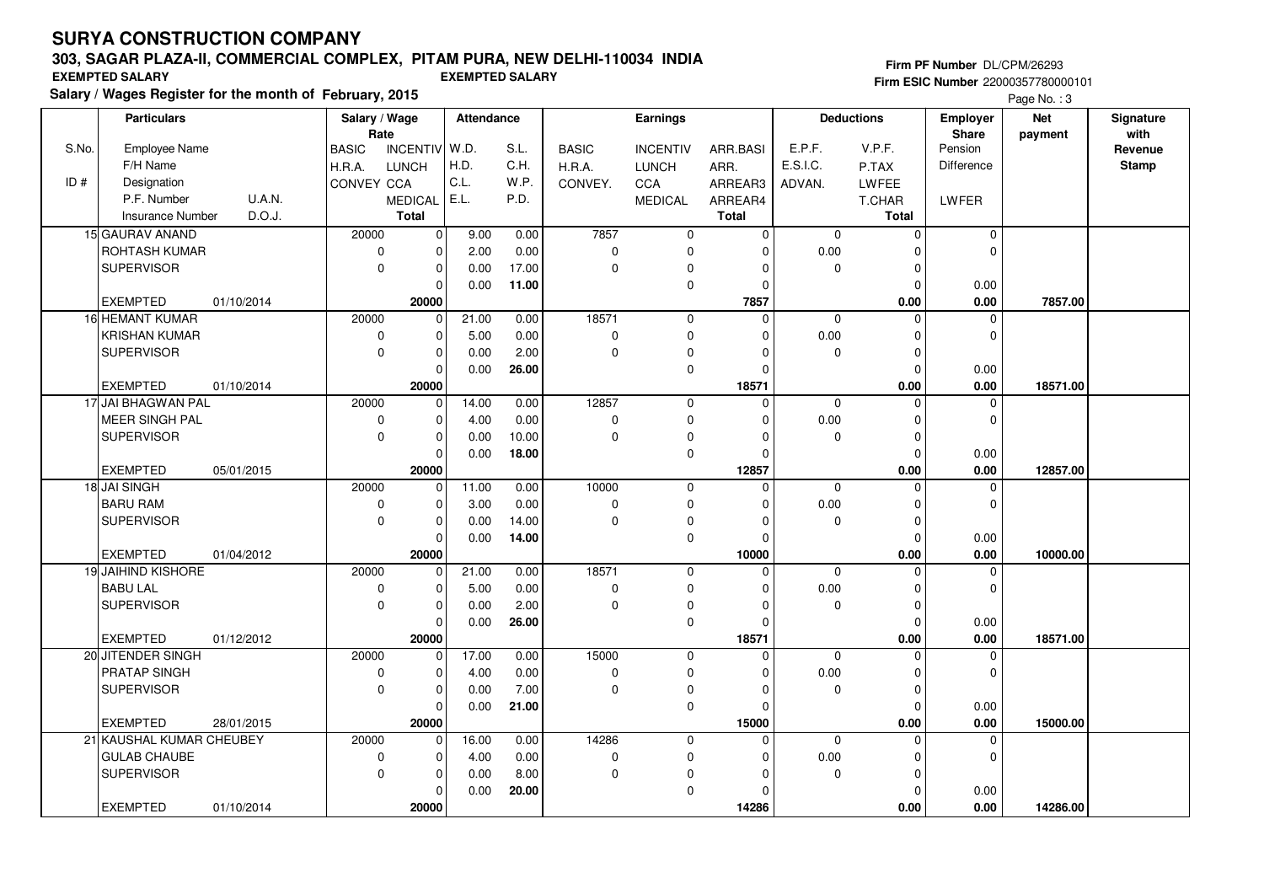# **303, SAGAR PLAZA-II, COMMERCIAL COMPLEX, PITAM PURA, NEW DELHI-110034 INDIA**

**Salary / Wages Register for the month of February, 2015 EXEMPTED SALARY EXEMPTED SALARY**

#### **Firm PF Number** DL/CPM/26293 **Firm ESIC Number** 22000357780000101

|       | <b>Particulars</b>       |            | Salary / Wage        |                | Attendance |       |              | <b>Earnings</b> |                |             | <b>Deductions</b> | <b>Employer</b>         | <b>Net</b> | Signature       |
|-------|--------------------------|------------|----------------------|----------------|------------|-------|--------------|-----------------|----------------|-------------|-------------------|-------------------------|------------|-----------------|
| S.No. | <b>Employee Name</b>     |            | Rate<br><b>BASIC</b> | INCENTIV W.D.  |            | S.L.  | <b>BASIC</b> | <b>INCENTIV</b> | ARR.BASI       | E.P.F.      | V.P.F.            | <b>Share</b><br>Pension | payment    | with<br>Revenue |
|       | F/H Name                 |            | H.R.A.               | <b>LUNCH</b>   | H.D.       | C.H.  | H.R.A.       | <b>LUNCH</b>    | ARR.           | E.S.I.C.    | P.TAX             | Difference              |            | <b>Stamp</b>    |
| ID#   | Designation              |            | CONVEY CCA           |                | C.L.       | W.P.  | CONVEY.      | CCA             | ARREAR3        | ADVAN.      | <b>LWFEE</b>      |                         |            |                 |
|       | P.F. Number              | U.A.N.     |                      | <b>MEDICAL</b> | E.L.       | P.D.  |              | <b>MEDICAL</b>  | ARREAR4        |             | T.CHAR            | LWFER                   |            |                 |
|       | <b>Insurance Number</b>  | D.O.J.     |                      | <b>Total</b>   |            |       |              |                 | <b>Total</b>   |             | <b>Total</b>      |                         |            |                 |
|       | 15 GAURAV ANAND          |            | 20000                | 0              | 9.00       | 0.00  | 7857         | $\mathbf 0$     | $\overline{0}$ | $\mathbf 0$ | $\mathbf 0$       | $\mathbf 0$             |            |                 |
|       | <b>ROHTASH KUMAR</b>     |            | $\mathbf 0$          | $\mathbf 0$    | 2.00       | 0.00  | $\pmb{0}$    | $\mathbf 0$     | 0              | 0.00        | $\Omega$          | $\Omega$                |            |                 |
|       | <b>SUPERVISOR</b>        |            | $\mathbf 0$          | $\mathbf 0$    | 0.00       | 17.00 | $\mathbf 0$  | $\mathbf 0$     | $\Omega$       | $\Omega$    | $\mathbf 0$       |                         |            |                 |
|       |                          |            |                      | $\Omega$       | 0.00       | 11.00 |              | $\mathbf 0$     | $\Omega$       |             | $\overline{0}$    | 0.00                    |            |                 |
|       | <b>EXEMPTED</b>          | 01/10/2014 |                      | 20000          |            |       |              |                 | 7857           |             | 0.00              | 0.00                    | 7857.00    |                 |
|       | 16 HEMANT KUMAR          |            | 20000                | $\mathbf 0$    | 21.00      | 0.00  | 18571        | $\mathbf 0$     | $\mathbf 0$    | $\mathbf 0$ | $\mathbf 0$       | $\mathbf 0$             |            |                 |
|       | <b>KRISHAN KUMAR</b>     |            | $\mathbf 0$          | $\mathbf 0$    | 5.00       | 0.00  | 0            | $\mathbf 0$     | $\Omega$       | 0.00        | 0                 | $\mathbf 0$             |            |                 |
|       | <b>SUPERVISOR</b>        |            | $\Omega$             | $\mathbf 0$    | 0.00       | 2.00  | $\pmb{0}$    | 0               | $\Omega$       | $\Omega$    | $\Omega$          |                         |            |                 |
|       |                          |            |                      | $\mathbf 0$    | 0.00       | 26.00 |              | $\mathbf 0$     | $\Omega$       |             | $\mathbf 0$       | 0.00                    |            |                 |
|       | <b>EXEMPTED</b>          | 01/10/2014 |                      | 20000          |            |       |              |                 | 18571          |             | 0.00              | 0.00                    | 18571.00   |                 |
|       | 17 JAI BHAGWAN PAL       |            | 20000                | $\mathbf 0$    | 14.00      | 0.00  | 12857        | $\mathbf 0$     | $\mathbf 0$    | $\Omega$    | $\mathbf 0$       | $\mathbf 0$             |            |                 |
|       | MEER SINGH PAL           |            | $\mathbf 0$          | $\mathbf 0$    | 4.00       | 0.00  | 0            | $\mathbf 0$     | $\Omega$       | 0.00        | $\mathbf 0$       | $\Omega$                |            |                 |
|       | <b>SUPERVISOR</b>        |            | $\mathbf 0$          | $\mathbf 0$    | 0.00       | 10.00 | $\mathbf 0$  | $\mathbf 0$     | $\Omega$       | 0           | $\mathbf 0$       |                         |            |                 |
|       |                          |            |                      | $\mathbf 0$    | 0.00       | 18.00 |              | $\mathbf 0$     | $\mathbf 0$    |             | $\mathbf 0$       | 0.00                    |            |                 |
|       | <b>EXEMPTED</b>          | 05/01/2015 |                      | 20000          |            |       |              |                 | 12857          |             | 0.00              | 0.00                    | 12857.00   |                 |
|       | 18 JAI SINGH             |            | 20000                | $\mathbf 0$    | 11.00      | 0.00  | 10000        | $\mathbf 0$     | $\Omega$       | $\Omega$    | $\Omega$          | 0                       |            |                 |
|       | <b>BARU RAM</b>          |            | $\mathbf 0$          | $\mathbf 0$    | 3.00       | 0.00  | $\pmb{0}$    | $\mathbf 0$     | $\Omega$       | 0.00        | $\Omega$          | $\Omega$                |            |                 |
|       | <b>SUPERVISOR</b>        |            | $\mathbf 0$          | $\mathbf 0$    | 0.00       | 14.00 | $\pmb{0}$    | 0               | $\Omega$       | 0           | $\mathbf 0$       |                         |            |                 |
|       |                          |            |                      | $\mathbf 0$    | 0.00       | 14.00 |              | $\mathbf 0$     | $\Omega$       |             | $\mathbf 0$       | 0.00                    |            |                 |
|       | <b>EXEMPTED</b>          | 01/04/2012 |                      | 20000          |            |       |              |                 | 10000          |             | 0.00              | 0.00                    | 10000.00   |                 |
|       | 19 JAIHIND KISHORE       |            | 20000                | $\mathbf 0$    | 21.00      | 0.00  | 18571        | $\mathbf 0$     | $\mathbf 0$    | $\mathbf 0$ | $\Omega$          | $\mathbf 0$             |            |                 |
|       | <b>BABU LAL</b>          |            | $\mathbf 0$          | $\mathbf 0$    | 5.00       | 0.00  | $\pmb{0}$    | $\mathbf 0$     | $\Omega$       | 0.00        | $\Omega$          | $\Omega$                |            |                 |
|       | <b>SUPERVISOR</b>        |            | $\mathbf 0$          | $\mathbf 0$    | 0.00       | 2.00  | $\pmb{0}$    | 0               | $\Omega$       | 0           | $\mathbf 0$       |                         |            |                 |
|       |                          |            |                      | $\mathbf 0$    | 0.00       | 26.00 |              | $\mathbf 0$     | $\Omega$       |             | $\mathbf 0$       | 0.00                    |            |                 |
|       | <b>EXEMPTED</b>          | 01/12/2012 |                      | 20000          |            |       |              |                 | 18571          |             | 0.00              | 0.00                    | 18571.00   |                 |
|       | 20 JITENDER SINGH        |            | 20000                | $\mathbf 0$    | 17.00      | 0.00  | 15000        | $\mathbf 0$     | $\Omega$       | $\mathbf 0$ | $\Omega$          | $\mathbf 0$             |            |                 |
|       | PRATAP SINGH             |            | $\pmb{0}$            | $\mathbf 0$    | 4.00       | 0.00  | $\pmb{0}$    | $\pmb{0}$       | $\Omega$       | 0.00        | $\mathbf 0$       | $\Omega$                |            |                 |
|       | <b>SUPERVISOR</b>        |            | $\mathbf 0$          | $\mathbf 0$    | 0.00       | 7.00  | $\mathbf 0$  | $\mathbf 0$     | $\Omega$       | $\mathbf 0$ | $\mathbf 0$       |                         |            |                 |
|       |                          |            |                      | $\mathbf 0$    | 0.00       | 21.00 |              | $\mathbf 0$     | 0              |             | $\mathbf 0$       | 0.00                    |            |                 |
|       | <b>EXEMPTED</b>          | 28/01/2015 |                      | 20000          |            |       |              |                 | 15000          |             | 0.00              | 0.00                    | 15000.00   |                 |
|       | 21 KAUSHAL KUMAR CHEUBEY |            | 20000                | 0              | 16.00      | 0.00  | 14286        | $\mathbf 0$     | $\Omega$       | 0           | $\Omega$          | $\mathbf 0$             |            |                 |
|       | <b>GULAB CHAUBE</b>      |            | $\mathbf 0$          | $\mathbf 0$    | 4.00       | 0.00  | 0            | 0               | $\Omega$       | 0.00        | 0                 | $\mathbf 0$             |            |                 |
|       | <b>SUPERVISOR</b>        |            | $\Omega$             | $\mathbf 0$    | 0.00       | 8.00  | $\mathbf 0$  | 0               | $\Omega$       | $\mathbf 0$ | $\mathbf 0$       |                         |            |                 |
|       |                          |            |                      | $\mathbf 0$    | 0.00       | 20.00 |              | $\pmb{0}$       | 0              |             | $\mathbf 0$       | 0.00                    |            |                 |
|       | <b>EXEMPTED</b>          | 01/10/2014 |                      | 20000          |            |       |              |                 | 14286          |             | 0.00              | 0.00                    | 14286.00   |                 |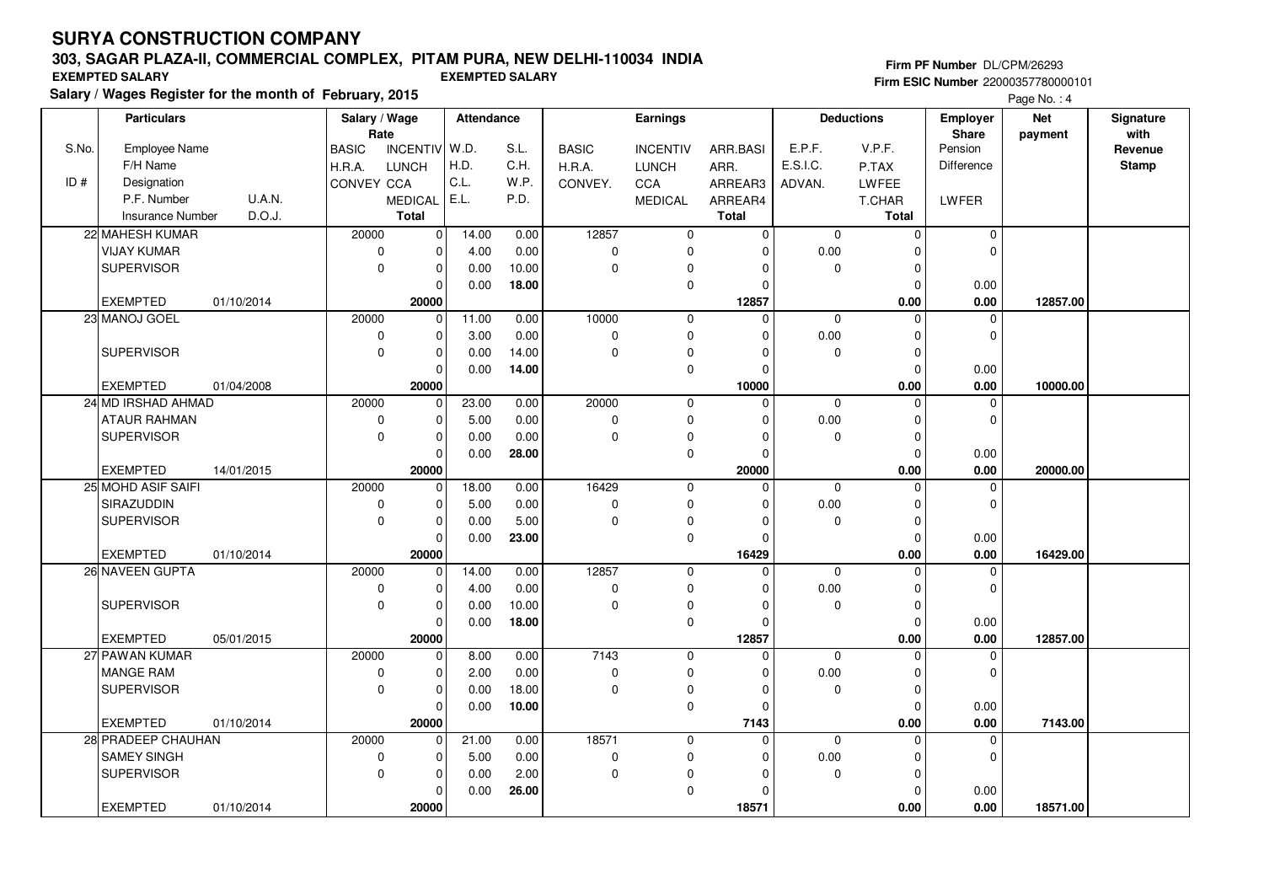# **303, SAGAR PLAZA-II, COMMERCIAL COMPLEX, PITAM PURA, NEW DELHI-110034 INDIA**

**Salary / Wages Register for the month of February, 2015 EXEMPTED SALARY EXEMPTED SALARY**

#### **Firm PF Number** DL/CPM/26293 **Firm ESIC Number** 22000357780000101

|       | <b>Particulars</b><br>Salary / Wage<br>Rate |            | Attendance   |                         |       | Earnings |              |                 | <b>Deductions</b> | Employer<br>Share | <b>Net</b><br>payment | Signature<br>with   |          |              |
|-------|---------------------------------------------|------------|--------------|-------------------------|-------|----------|--------------|-----------------|-------------------|-------------------|-----------------------|---------------------|----------|--------------|
| S.No. | <b>Employee Name</b>                        |            | <b>BASIC</b> | INCENTIV W.D.           |       | S.L.     | <b>BASIC</b> | <b>INCENTIV</b> | ARR.BASI          | E.P.F.            | V.P.F.                | Pension             |          | Revenue      |
|       | F/H Name                                    |            | H.R.A.       | <b>LUNCH</b>            | H.D.  | C.H.     | H.R.A.       | <b>LUNCH</b>    | ARR.              | E.S.I.C.          | P.TAX                 | <b>Difference</b>   |          | <b>Stamp</b> |
| ID#   | Designation                                 |            | CONVEY CCA   |                         | C.L.  | W.P.     | CONVEY.      | CCA             | ARREAR3           | ADVAN.            | LWFEE                 |                     |          |              |
|       | P.F. Number                                 | U.A.N.     |              | MEDICAL                 | E.L.  | P.D.     |              | <b>MEDICAL</b>  | ARREAR4           |                   | T.CHAR                | LWFER               |          |              |
|       | <b>Insurance Number</b>                     | D.O.J.     |              | <b>Total</b>            |       |          |              |                 | <b>Total</b>      |                   | Total                 |                     |          |              |
|       | 22 MAHESH KUMAR                             |            | 20000        | $\mathbf 0$             | 14.00 | 0.00     | 12857        | $\mathbf 0$     | $\mathbf 0$       | $\mathbf 0$       | $\mathbf 0$           | $\mathbf 0$         |          |              |
|       | <b>VIJAY KUMAR</b>                          |            | $\mathbf 0$  | $\mathbf 0$             | 4.00  | 0.00     | $\mathbf 0$  | $\mathbf 0$     | $\Omega$          | 0.00              |                       | $\Omega$            |          |              |
|       | <b>SUPERVISOR</b>                           |            | $\mathbf 0$  | $\mathbf 0$             | 0.00  | 10.00    | $\Omega$     | 0               | $\Omega$          | 0                 | $\Omega$              |                     |          |              |
|       |                                             |            |              | $\mathbf 0$             | 0.00  | 18.00    |              | $\mathbf 0$     |                   |                   | $\Omega$              | 0.00                |          |              |
|       | <b>EXEMPTED</b>                             | 01/10/2014 |              | 20000                   |       |          |              |                 | 12857             |                   | 0.00                  | 0.00                | 12857.00 |              |
|       | 23 MANOJ GOEL                               |            | 20000        | $\mathbf 0$             | 11.00 | 0.00     | 10000        | $\mathbf 0$     | $\mathbf 0$       | 0                 | $\Omega$              | 0                   |          |              |
|       |                                             |            | $\mathbf 0$  | $\mathbf 0$             | 3.00  | 0.00     | $\mathbf 0$  | $\mathbf 0$     |                   | 0.00              | $\Omega$              | $\mathbf 0$         |          |              |
|       | <b>SUPERVISOR</b>                           |            | $\mathbf 0$  | $\mathbf 0$             | 0.00  | 14.00    | $\Omega$     | 0               |                   | 0                 | $\Omega$              |                     |          |              |
|       |                                             |            |              | $\mathbf 0$             | 0.00  | 14.00    |              | $\mathbf 0$     |                   |                   | $\Omega$              | 0.00                |          |              |
|       | <b>EXEMPTED</b>                             | 01/04/2008 |              | 20000                   |       |          |              |                 | 10000             |                   | 0.00                  | 0.00                | 10000.00 |              |
|       | 24 MD IRSHAD AHMAD                          |            | 20000        | $\mathbf 0$             | 23.00 | 0.00     | 20000        | $\mathbf 0$     | $\Omega$          | $\mathbf 0$       | $\Omega$              | 0                   |          |              |
|       | <b>ATAUR RAHMAN</b>                         |            | $\mathbf 0$  | $\mathbf 0$             | 5.00  | 0.00     | $\mathbf 0$  | $\mathbf 0$     |                   | 0.00              | $\Omega$              | $\Omega$            |          |              |
|       | <b>SUPERVISOR</b>                           |            | $\mathbf 0$  | $\mathbf 0$             | 0.00  | 0.00     | $\Omega$     | 0               |                   | $\mathbf 0$       | $\mathbf 0$           |                     |          |              |
|       |                                             |            |              | $\pmb{0}$               | 0.00  | 28.00    |              | $\mathbf 0$     | <sup>0</sup>      |                   | $\Omega$              | 0.00                |          |              |
|       | <b>EXEMPTED</b>                             | 14/01/2015 |              | 20000                   |       |          |              |                 | 20000             |                   | 0.00                  | 0.00                | 20000.00 |              |
|       | 25 MOHD ASIF SAIFI                          |            | 20000        | $\overline{0}$          | 18.00 | 0.00     | 16429        | $\mathbf 0$     | $\Omega$          | $\Omega$          | $\Omega$              | $\mathbf 0$         |          |              |
|       | <b>SIRAZUDDIN</b>                           |            | $\mathbf 0$  | $\pmb{0}$               | 5.00  | 0.00     | $\mathbf 0$  | $\mathbf 0$     |                   | 0.00              | $\Omega$              | $\Omega$            |          |              |
|       | <b>SUPERVISOR</b>                           |            | $\mathbf 0$  | $\mathbf 0$             | 0.00  | 5.00     | $\mathbf 0$  | 0               | <sup>0</sup>      | 0                 | $\Omega$              |                     |          |              |
|       |                                             |            |              | $\mathbf 0$             | 0.00  | 23.00    |              | $\mathbf 0$     | $\Omega$          |                   | $\Omega$              | 0.00                |          |              |
|       | <b>EXEMPTED</b><br>26 NAVEEN GUPTA          | 01/10/2014 | 20000        | 20000<br>$\overline{0}$ | 14.00 | 0.00     | 12857        | $\overline{0}$  | 16429<br>$\Omega$ | $\Omega$          | 0.00<br>$\Omega$      | 0.00<br>$\mathbf 0$ | 16429.00 |              |
|       |                                             |            | $\mathbf 0$  | $\mathbf 0$             | 4.00  | 0.00     | $\mathbf 0$  | $\mathbf 0$     |                   | 0.00              | $\Omega$              | $\mathbf 0$         |          |              |
|       | <b>SUPERVISOR</b>                           |            | $\mathbf 0$  | $\mathbf 0$             | 0.00  | 10.00    | $\mathbf 0$  | 0               | <sup>0</sup>      | 0                 | $\mathbf 0$           |                     |          |              |
|       |                                             |            |              | $\mathbf 0$             | 0.00  | 18.00    |              | 0               | $\Omega$          |                   | $\Omega$              | 0.00                |          |              |
|       | <b>EXEMPTED</b>                             | 05/01/2015 |              | 20000                   |       |          |              |                 | 12857             |                   | 0.00                  | 0.00                | 12857.00 |              |
|       | 27 PAWAN KUMAR                              |            | 20000        | $\mathbf 0$             | 8.00  | 0.00     | 7143         | $\mathbf 0$     | $\Omega$          | $\Omega$          | $\Omega$              | $\mathbf 0$         |          |              |
|       | MANGE RAM                                   |            | 0            | $\mathbf 0$             | 2.00  | 0.00     | $\mathbf 0$  | $\mathbf 0$     | n                 | 0.00              | $\Omega$              | $\Omega$            |          |              |
|       | <b>SUPERVISOR</b>                           |            | $\Omega$     | $\mathbf 0$             | 0.00  | 18.00    | $\Omega$     | 0               | <sup>0</sup>      | $\mathbf 0$       | $\Omega$              |                     |          |              |
|       |                                             |            |              | $\mathbf 0$             | 0.00  | 10.00    |              | 0               | $\Omega$          |                   | $\Omega$              | 0.00                |          |              |
|       | <b>EXEMPTED</b>                             | 01/10/2014 |              | 20000                   |       |          |              |                 | 7143              |                   | 0.00                  | 0.00                | 7143.00  |              |
|       | 28 PRADEEP CHAUHAN                          |            | 20000        | $\mathbf 0$             | 21.00 | 0.00     | 18571        | $\mathbf 0$     | $\Omega$          | $\mathbf 0$       | $\Omega$              | $\mathbf 0$         |          |              |
|       | <b>SAMEY SINGH</b>                          |            | $\pmb{0}$    | $\mathbf 0$             | 5.00  | 0.00     | $\mathbf 0$  | $\mathbf 0$     | $\Omega$          | 0.00              | 0                     | $\mathbf 0$         |          |              |
|       | <b>SUPERVISOR</b>                           |            | $\mathbf 0$  | 0                       | 0.00  | 2.00     | $\Omega$     | $\pmb{0}$       | n                 | 0                 | $\Omega$              |                     |          |              |
|       |                                             |            |              | $\mathbf 0$             | 0.00  | 26.00    |              | $\mathbf 0$     |                   |                   | $\Omega$              | 0.00                |          |              |
|       | <b>EXEMPTED</b>                             | 01/10/2014 |              | 20000                   |       |          |              |                 | 18571             |                   | 0.00                  | 0.00                | 18571.00 |              |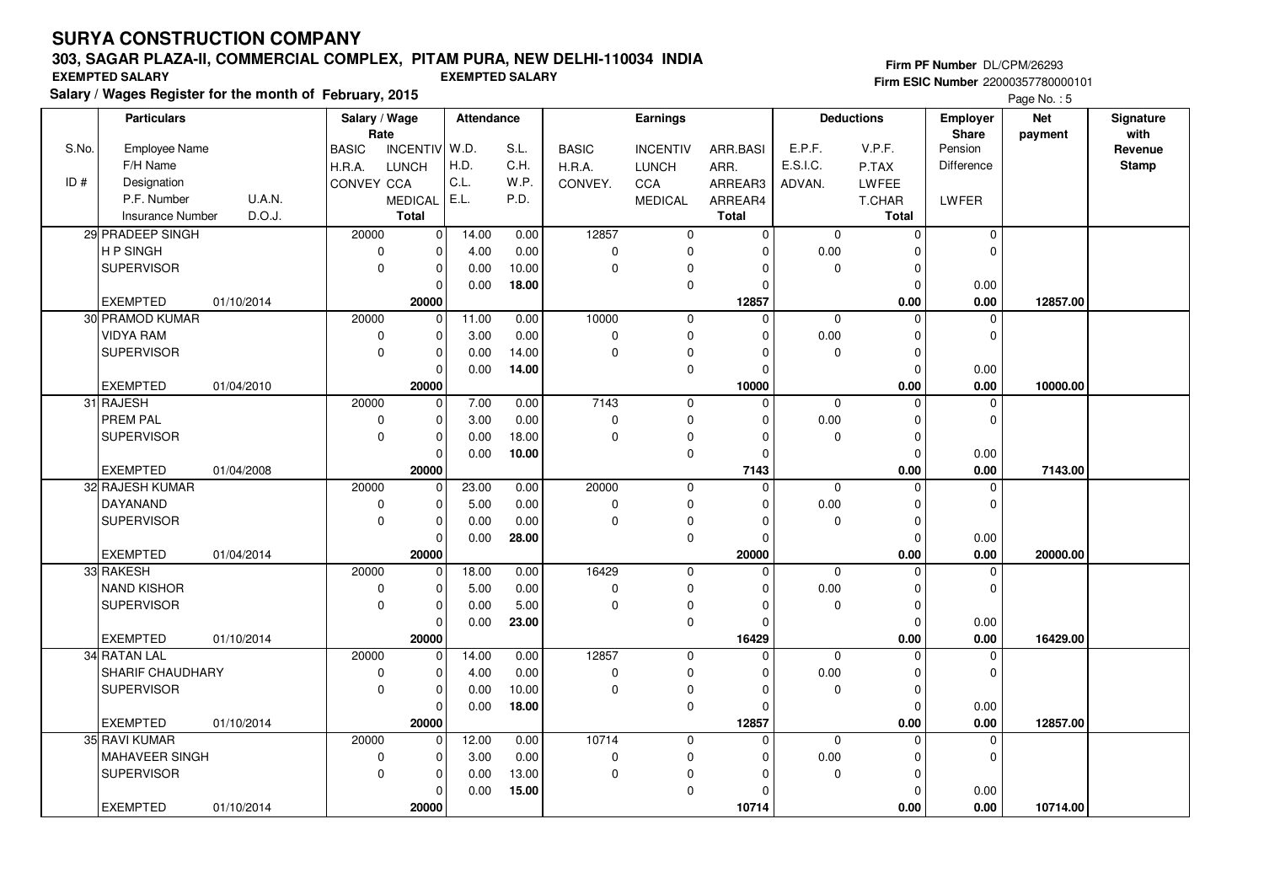## **303, SAGAR PLAZA-II, COMMERCIAL COMPLEX, PITAM PURA, NEW DELHI-110034 INDIA**

**Salary / Wages Register for the month of February, 2015 EXEMPTED SALARY EXEMPTED SALARY**

#### **Firm PF Number** DL/CPM/26293 **Firm ESIC Number** 22000357780000101

|       | <b>Particulars</b>      |            | Salary / Wage<br>Rate |                | Attendance |       |              | Earnings        |              |              | <b>Deductions</b>   | <b>Employer</b><br>Share | <b>Net</b> | Signature<br>with |
|-------|-------------------------|------------|-----------------------|----------------|------------|-------|--------------|-----------------|--------------|--------------|---------------------|--------------------------|------------|-------------------|
| S.No. | Employee Name           |            | <b>BASIC</b>          | INCENTIV W.D.  |            | S.L.  | <b>BASIC</b> | <b>INCENTIV</b> | ARR.BASI     | E.P.F.       | V.P.F.              | Pension                  | payment    | Revenue           |
|       | F/H Name                |            | H.R.A.                | <b>LUNCH</b>   | H.D.       | C.H.  | H.R.A.       | <b>LUNCH</b>    | ARR.         | E.S.I.C.     | P.TAX               | Difference               |            | <b>Stamp</b>      |
| ID#   | Designation             |            | CONVEY CCA            |                | C.L.       | W.P.  | CONVEY.      | CCA             | ARREAR3      | ADVAN.       | LWFEE               |                          |            |                   |
|       | P.F. Number             | U.A.N.     |                       | <b>MEDICAL</b> | E.L.       | P.D.  |              | <b>MEDICAL</b>  | ARREAR4      |              | T.CHAR              | LWFER                    |            |                   |
|       | <b>Insurance Number</b> | D.O.J.     |                       | <b>Total</b>   |            |       |              |                 | <b>Total</b> |              | <b>Total</b>        |                          |            |                   |
|       | 29 PRADEEP SINGH        |            | 20000                 | $\mathbf 0$    | 14.00      | 0.00  | 12857        | 0               | $\mathbf{0}$ | $\mathbf 0$  | $\mathsf{O}\xspace$ | $\pmb{0}$                |            |                   |
|       | H P SINGH               |            | $\mathbf 0$           | $\mathbf 0$    | 4.00       | 0.00  | $\mathbf 0$  | $\mathbf 0$     | $\Omega$     | 0.00         | $\Omega$            | $\mathbf 0$              |            |                   |
|       | <b>SUPERVISOR</b>       |            | $\mathbf 0$           | $\mathbf 0$    | 0.00       | 10.00 | $\pmb{0}$    | $\mathbf 0$     | $\Omega$     | $\mathbf 0$  | $\mathbf 0$         |                          |            |                   |
|       |                         |            |                       | $\Omega$       | 0.00       | 18.00 |              | $\pmb{0}$       | $\Omega$     |              | $\Omega$            | 0.00                     |            |                   |
|       | <b>EXEMPTED</b>         | 01/10/2014 |                       | 20000          |            |       |              |                 | 12857        |              | 0.00                | 0.00                     | 12857.00   |                   |
|       | 30 PRAMOD KUMAR         |            | 20000                 | $\mathbf 0$    | 11.00      | 0.00  | 10000        | $\mathbf 0$     | $\Omega$     | $\mathbf 0$  | $\Omega$            | $\mathbf 0$              |            |                   |
|       | <b>VIDYA RAM</b>        |            | $\mathbf 0$           | $\mathbf 0$    | 3.00       | 0.00  | $\pmb{0}$    | $\mathbf 0$     | $\Omega$     | $0.00\,$     | $\Omega$            | $\mathbf 0$              |            |                   |
|       | SUPERVISOR              |            | $\Omega$              | $\mathbf 0$    | 0.00       | 14.00 | $\pmb{0}$    | $\mathbf 0$     | $\Omega$     | 0            | $\mathbf 0$         |                          |            |                   |
|       |                         |            |                       | $\Omega$       | 0.00       | 14.00 |              | $\mathbf 0$     | $\Omega$     |              | $\mathbf 0$         | 0.00                     |            |                   |
|       | <b>EXEMPTED</b>         | 01/04/2010 |                       | 20000          |            |       |              |                 | 10000        |              | 0.00                | 0.00                     | 10000.00   |                   |
|       | 31 RAJESH               |            | 20000                 | $\mathbf 0$    | 7.00       | 0.00  | 7143         | $\mathbf 0$     | $\mathbf 0$  | $\mathbf 0$  | $\mathbf 0$         | 0                        |            |                   |
|       | <b>PREM PAL</b>         |            | $\mathbf 0$           | $\mathbf 0$    | 3.00       | 0.00  | $\pmb{0}$    | 0               | $\Omega$     | 0.00         | $\mathbf 0$         | $\mathbf 0$              |            |                   |
|       | <b>SUPERVISOR</b>       |            | $\mathbf 0$           | $\mathbf 0$    | 0.00       | 18.00 | $\mathbf 0$  | $\mathbf 0$     | $\Omega$     | 0            | $\mathbf 0$         |                          |            |                   |
|       |                         |            |                       | $\Omega$       | 0.00       | 10.00 |              | $\mathbf 0$     | $\Omega$     |              | $\mathbf 0$         | 0.00                     |            |                   |
|       | <b>EXEMPTED</b>         | 01/04/2008 |                       | 20000          |            |       |              |                 | 7143         |              | 0.00                | 0.00                     | 7143.00    |                   |
|       | 32 RAJESH KUMAR         |            | 20000                 | $\mathbf 0$    | 23.00      | 0.00  | 20000        | $\mathbf 0$     | $\Omega$     | $\mathbf{0}$ | $\Omega$            | $\Omega$                 |            |                   |
|       | DAYANAND                |            | $\mathbf 0$           | $\mathbf 0$    | 5.00       | 0.00  | $\pmb{0}$    | $\mathbf 0$     | $\Omega$     | $0.00\,$     | $\Omega$            | $\mathbf 0$              |            |                   |
|       | <b>SUPERVISOR</b>       |            | $\mathbf 0$           | $\Omega$       | 0.00       | 0.00  | $\pmb{0}$    | $\pmb{0}$       | O            | 0            | $\mathbf 0$         |                          |            |                   |
|       |                         |            |                       | $\Omega$       | 0.00       | 28.00 |              | $\mathbf 0$     | $\Omega$     |              | $\mathbf 0$         | 0.00                     |            |                   |
|       | <b>EXEMPTED</b>         | 01/04/2014 |                       | 20000          |            |       |              |                 | 20000        |              | 0.00                | 0.00                     | 20000.00   |                   |
|       | 33 RAKESH               |            | 20000                 | 0              | 18.00      | 0.00  | 16429        | 0               | $\Omega$     | $\mathbf 0$  | $\Omega$            | $\pmb{0}$                |            |                   |
|       | <b>NAND KISHOR</b>      |            | $\mathbf 0$           | $\Omega$       | 5.00       | 0.00  | $\pmb{0}$    | $\mathbf 0$     | $\Omega$     | 0.00         | $\Omega$            | $\mathbf 0$              |            |                   |
|       | <b>SUPERVISOR</b>       |            | $\mathbf 0$           | $\mathbf 0$    | 0.00       | 5.00  | $\pmb{0}$    | 0               | $\Omega$     | 0            | $\mathbf 0$         |                          |            |                   |
|       |                         |            |                       | $\Omega$       | 0.00       | 23.00 |              | $\mathbf 0$     | $\Omega$     |              | $\mathbf 0$         | 0.00                     |            |                   |
|       | <b>EXEMPTED</b>         | 01/10/2014 |                       | 20000          |            |       |              |                 | 16429        |              | 0.00                | 0.00                     | 16429.00   |                   |
|       | 34 RATAN LAL            |            | 20000                 | $\mathbf 0$    | 14.00      | 0.00  | 12857        | $\mathbf{0}$    | $\Omega$     | $\mathbf 0$  | $\Omega$            | 0                        |            |                   |
|       | <b>SHARIF CHAUDHARY</b> |            | 0                     | $\mathbf 0$    | 4.00       | 0.00  | $\pmb{0}$    | $\mathbf 0$     | $\Omega$     | $0.00\,$     | $\Omega$            | $\mathbf 0$              |            |                   |
|       | <b>SUPERVISOR</b>       |            | $\mathbf 0$           | $\mathbf 0$    | 0.00       | 10.00 | $\mathbf 0$  | 0               | $\Omega$     | $\mathbf 0$  | $\mathbf 0$         |                          |            |                   |
|       |                         |            |                       | $\Omega$       | 0.00       | 18.00 |              | $\mathbf 0$     | $\Omega$     |              | $\mathbf 0$         | 0.00                     |            |                   |
|       | <b>EXEMPTED</b>         | 01/10/2014 |                       | 20000          |            |       |              |                 | 12857        |              | 0.00                | 0.00                     | 12857.00   |                   |
|       | 35 RAVI KUMAR           |            | 20000                 | $\Omega$       | 12.00      | 0.00  | 10714        | $\mathbf 0$     | 0            | $\mathbf 0$  | $\mathbf 0$         | $\Omega$                 |            |                   |
|       | MAHAVEER SINGH          |            | 0                     | $\mathbf 0$    | 3.00       | 0.00  | 0            | 0               | $\Omega$     | 0.00         | $\mathbf 0$         | $\mathbf 0$              |            |                   |
|       | <b>SUPERVISOR</b>       |            | $\mathbf 0$           | $\mathbf 0$    | 0.00       | 13.00 | $\pmb{0}$    | $\mathbf 0$     | $\Omega$     | $\mathbf 0$  | $\mathbf 0$         |                          |            |                   |
|       |                         |            |                       | $\Omega$       | 0.00       | 15.00 |              | $\mathbf 0$     | $\Omega$     |              | $\Omega$            | 0.00                     |            |                   |
|       | <b>EXEMPTED</b>         | 01/10/2014 |                       | 20000          |            |       |              |                 | 10714        |              | 0.00                | 0.00                     | 10714.00   |                   |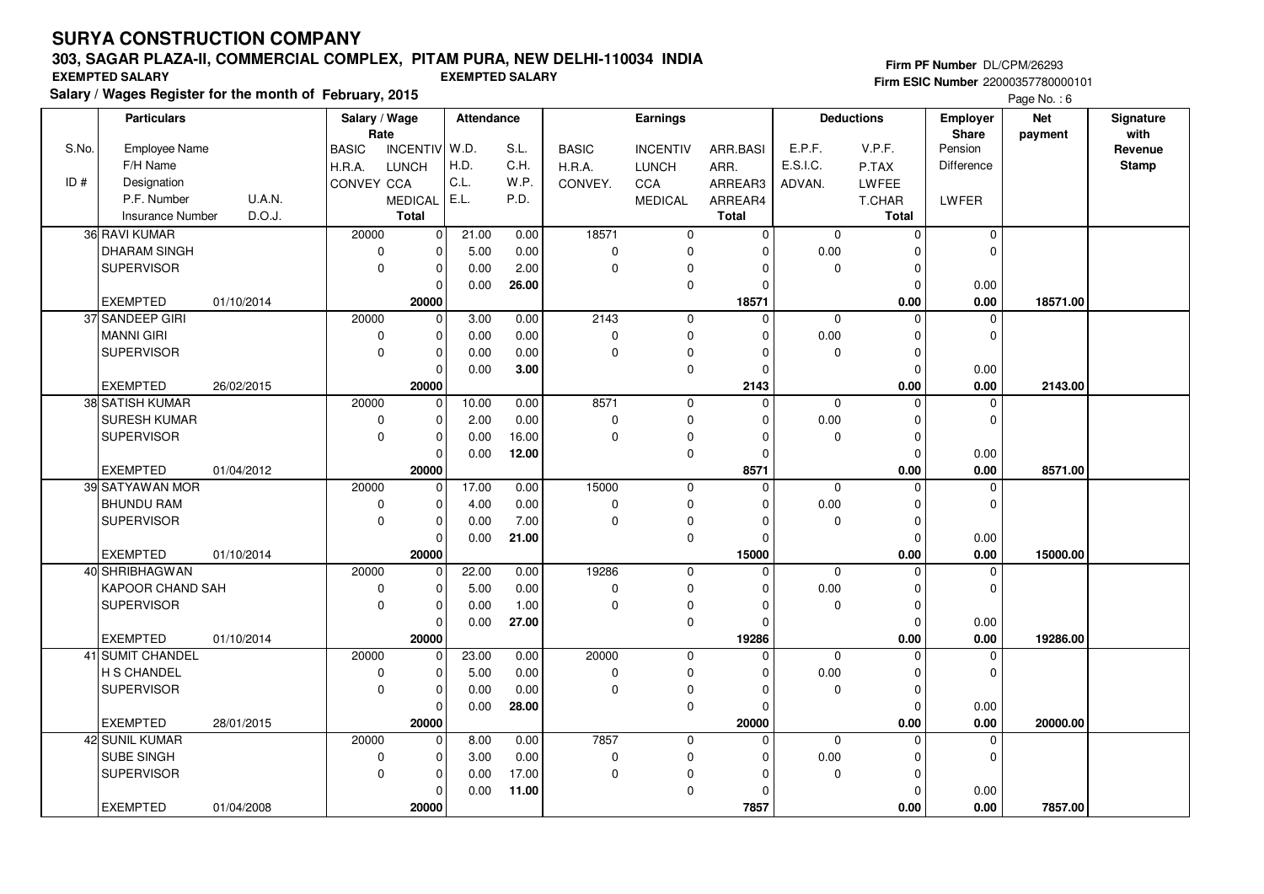## **303, SAGAR PLAZA-II, COMMERCIAL COMPLEX, PITAM PURA, NEW DELHI-110034 INDIA**

**Salary / Wages Register for the month of February, 2015 EXEMPTED SALARY EXEMPTED SALARY**

#### **Firm PF Number** DL/CPM/26293 **Firm ESIC Number** 22000357780000101

|       | <b>Particulars</b>      |            |                        | Salary / Wage<br>Rate |       | Attendance |                        | <b>Earnings</b>                 |                  | <b>Deductions</b> |              | <b>Employer</b>   | <b>Net</b> | Signature               |
|-------|-------------------------|------------|------------------------|-----------------------|-------|------------|------------------------|---------------------------------|------------------|-------------------|--------------|-------------------|------------|-------------------------|
| S.No. | <b>Employee Name</b>    |            |                        | <b>INCENTIV</b>       | W.D.  | S.L.       |                        |                                 |                  | E.P.F.            | V.P.F.       | Share<br>Pension  | payment    | with                    |
|       | F/H Name                |            | <b>BASIC</b><br>H.R.A. | <b>LUNCH</b>          | H.D.  | C.H.       | <b>BASIC</b><br>H.R.A. | <b>INCENTIV</b><br><b>LUNCH</b> | ARR.BASI<br>ARR. | E.S.I.C.          | P.TAX        | <b>Difference</b> |            | Revenue<br><b>Stamp</b> |
| ID#   | Designation             |            | CONVEY CCA             |                       | C.L.  | W.P.       | CONVEY.                | <b>CCA</b>                      | ARREAR3          | ADVAN.            | LWFEE        |                   |            |                         |
|       | P.F. Number             | U.A.N.     |                        | <b>MEDICAL</b>        | E.L.  | P.D.       |                        | <b>MEDICAL</b>                  | ARREAR4          |                   | T.CHAR       | LWFER             |            |                         |
|       | <b>Insurance Number</b> | D.O.J.     |                        | <b>Total</b>          |       |            |                        |                                 | <b>Total</b>     |                   | <b>Total</b> |                   |            |                         |
|       | 36 RAVI KUMAR           |            | 20000                  | $\mathbf 0$           | 21.00 | 0.00       | 18571                  | 0                               | $\mathbf 0$      | $\mathbf 0$       | $\mathbf 0$  | $\mathbf 0$       |            |                         |
|       | <b>DHARAM SINGH</b>     |            | $\mathbf 0$            | $\Omega$              | 5.00  | 0.00       | $\mathbf 0$            | $\Omega$                        | $\Omega$         | 0.00              | $\Omega$     | $\Omega$          |            |                         |
|       | <b>SUPERVISOR</b>       |            | $\mathbf 0$            | $\mathbf 0$           | 0.00  | 2.00       | $\Omega$               | $\Omega$                        | $\Omega$         | $\Omega$          | $\Omega$     |                   |            |                         |
|       |                         |            |                        | $\Omega$              | 0.00  | 26.00      |                        | $\mathbf 0$                     | $\Omega$         |                   | $\Omega$     | 0.00              |            |                         |
|       | <b>EXEMPTED</b>         | 01/10/2014 |                        | 20000                 |       |            |                        |                                 | 18571            |                   | 0.00         | 0.00              | 18571.00   |                         |
|       | 37 SANDEEP GIRI         |            | 20000                  | $\mathbf 0$           | 3.00  | 0.00       | 2143                   | $\mathbf 0$                     | $\Omega$         | $\mathbf 0$       | $\mathbf 0$  | 0                 |            |                         |
|       | <b>MANNI GIRI</b>       |            | 0                      | $\mathbf 0$           | 0.00  | 0.00       | 0                      | 0                               | O                | 0.00              | $\mathbf 0$  | 0                 |            |                         |
|       | <b>SUPERVISOR</b>       |            | $\Omega$               | $\mathbf 0$           | 0.00  | 0.00       | 0                      | $\mathbf 0$                     | $\Omega$         | $\Omega$          | $\Omega$     |                   |            |                         |
|       |                         |            |                        | 0                     | 0.00  | 3.00       |                        | 0                               | $\Omega$         |                   | $\Omega$     | 0.00              |            |                         |
|       | <b>EXEMPTED</b>         | 26/02/2015 |                        | 20000                 |       |            |                        |                                 | 2143             |                   | 0.00         | 0.00              | 2143.00    |                         |
|       | 38 SATISH KUMAR         |            | 20000                  | $\mathbf 0$           | 10.00 | 0.00       | 8571                   | $\mathbf 0$                     | $\mathbf 0$      | $\mathbf 0$       | $\mathbf 0$  | $\mathbf 0$       |            |                         |
|       | <b>SURESH KUMAR</b>     |            | $\mathbf 0$            | $\mathbf 0$           | 2.00  | 0.00       | 0                      | $\mathbf 0$                     | O                | 0.00              | $\Omega$     | $\mathbf 0$       |            |                         |
|       | <b>SUPERVISOR</b>       |            | $\mathbf 0$            | $\mathbf 0$           | 0.00  | 16.00      | $\Omega$               | $\mathbf 0$                     | $\Omega$         | $\Omega$          | $\mathbf 0$  |                   |            |                         |
|       |                         |            |                        | $\mathbf 0$           | 0.00  | 12.00      |                        | 0                               | $\Omega$         |                   | $\Omega$     | 0.00              |            |                         |
|       | <b>EXEMPTED</b>         | 01/04/2012 |                        | 20000                 |       |            |                        |                                 | 8571             |                   | 0.00         | $0.00\,$          | 8571.00    |                         |
|       | 39 SATYAWAN MOR         |            | 20000                  | 0                     | 17.00 | 0.00       | 15000                  | $\mathbf 0$                     | $\Omega$         | $\mathbf 0$       | $\Omega$     | $\mathbf 0$       |            |                         |
|       | <b>BHUNDU RAM</b>       |            | $\mathbf 0$            | $\mathbf 0$           | 4.00  | 0.00       | 0                      | $\mathbf 0$                     | O                | 0.00              | $\Omega$     | 0                 |            |                         |
|       | <b>SUPERVISOR</b>       |            | $\mathbf 0$            | $\mathbf 0$           | 0.00  | 7.00       | $\mathbf 0$            | 0                               | 0                | $\mathbf 0$       | $\mathbf 0$  |                   |            |                         |
|       |                         |            |                        | 0                     | 0.00  | 21.00      |                        | 0                               | $\Omega$         |                   | $\mathbf 0$  | 0.00              |            |                         |
|       | <b>EXEMPTED</b>         | 01/10/2014 |                        | 20000                 |       |            |                        |                                 | 15000            |                   | 0.00         | 0.00              | 15000.00   |                         |
|       | 40 SHRIBHAGWAN          |            | 20000                  | $\mathbf 0$           | 22.00 | 0.00       | 19286                  | $\mathbf 0$                     | $\Omega$         | $\Omega$          | $\Omega$     | $\mathbf 0$       |            |                         |
|       | KAPOOR CHAND SAH        |            | 0                      | $\mathbf{0}$          | 5.00  | 0.00       | 0                      | 0                               | 0                | $0.00\,$          | $\Omega$     | $\mathbf 0$       |            |                         |
|       | <b>SUPERVISOR</b>       |            | $\mathbf 0$            | $\mathbf 0$           | 0.00  | 1.00       | $\mathbf 0$            | 0                               | $\Omega$         | $\mathbf 0$       | $\mathbf 0$  |                   |            |                         |
|       |                         |            |                        | 0                     | 0.00  | 27.00      |                        | $\mathbf 0$                     | $\Omega$         |                   | $\Omega$     | 0.00              |            |                         |
|       | <b>EXEMPTED</b>         | 01/10/2014 |                        | 20000                 |       |            |                        |                                 | 19286            |                   | 0.00         | $0.00\,$          | 19286.00   |                         |
|       | 41 SUMIT CHANDEL        |            | 20000                  | $\Omega$              | 23.00 | 0.00       | 20000                  | $\mathbf 0$                     | $\Omega$         | $\mathbf{0}$      | $\Omega$     | $\mathbf 0$       |            |                         |
|       | H S CHANDEL             |            | $\mathbf 0$            | 0                     | 5.00  | 0.00       | 0                      | 0                               | $\Omega$         | 0.00              | $\mathbf 0$  | 0                 |            |                         |
|       | <b>SUPERVISOR</b>       |            | $\mathbf 0$            | $\mathbf 0$           | 0.00  | 0.00       | $\mathbf 0$            | $\mathbf 0$                     | 0                | $\mathbf 0$       | $\mathbf 0$  |                   |            |                         |
|       |                         |            |                        | $\Omega$              | 0.00  | 28.00      |                        | $\mathbf 0$                     | O                |                   | $\Omega$     | 0.00              |            |                         |
|       | <b>EXEMPTED</b>         | 28/01/2015 |                        | 20000                 |       |            |                        |                                 | 20000            |                   | 0.00         | 0.00              | 20000.00   |                         |
|       | 42 SUNIL KUMAR          |            | 20000                  | $\mathbf 0$           | 8.00  | 0.00       | 7857                   | $\mathbf 0$                     | $\Omega$         | $\mathbf 0$       | $\Omega$     | $\mathbf 0$       |            |                         |
|       | SUBE SINGH              |            | $\mathbf 0$            | 0                     | 3.00  | 0.00       | 0                      | 0                               | $\Omega$         | 0.00              | $\mathbf 0$  | 0                 |            |                         |
|       | <b>SUPERVISOR</b>       |            | 0                      | $\mathbf 0$           | 0.00  | 17.00      | $\pmb{0}$              | $\Omega$                        | 0                | $\mathbf 0$       | $\Omega$     |                   |            |                         |
|       |                         |            |                        | $\Omega$              | 0.00  | 11.00      |                        | 0                               | $\Omega$         |                   | $\Omega$     | 0.00              |            |                         |
|       | <b>EXEMPTED</b>         | 01/04/2008 |                        | 20000                 |       |            |                        |                                 | 7857             |                   | 0.00         | 0.00              | 7857.00    |                         |